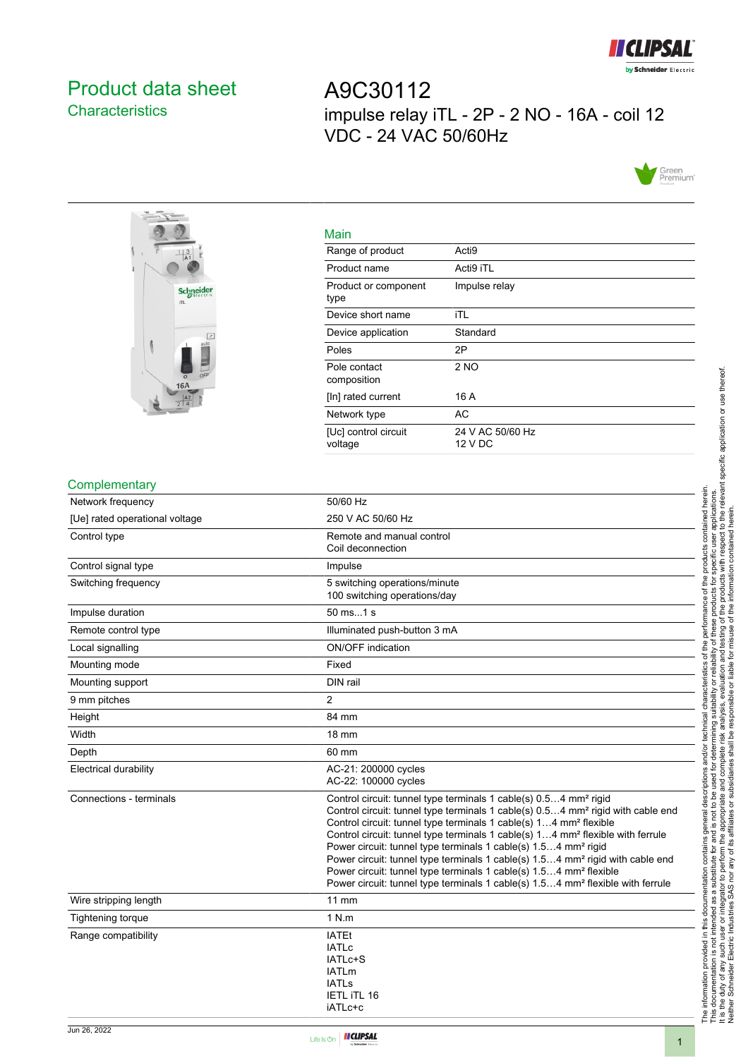

## <span id="page-0-0"></span>Product data sheet **Characteristics**

A9C30112 impulse relay iTL - 2P - 2 NO - 16A - coil 12 VDC - 24 VAC 50/60Hz





| Main                            |                             |
|---------------------------------|-----------------------------|
| Range of product                | Acti <sub>9</sub>           |
| Product name                    | Acti9 iTL                   |
| Product or component<br>type    | Impulse relay               |
| Device short name               | iTL                         |
| Device application              | Standard                    |
| Poles                           | 2P                          |
| Pole contact<br>composition     | 2 NO                        |
| [In] rated current              | 16 A                        |
| Network type                    | АC                          |
| [Uc] control circuit<br>voltage | 24 V AC 50/60 Hz<br>12 V DC |

#### **Complementary**

| Network frequency              | 50/60 Hz                                                                                                                                                                                                                                                                                                                                                                                                                                                                                                                                                                                                                                                                                                             |
|--------------------------------|----------------------------------------------------------------------------------------------------------------------------------------------------------------------------------------------------------------------------------------------------------------------------------------------------------------------------------------------------------------------------------------------------------------------------------------------------------------------------------------------------------------------------------------------------------------------------------------------------------------------------------------------------------------------------------------------------------------------|
| [Ue] rated operational voltage | 250 V AC 50/60 Hz                                                                                                                                                                                                                                                                                                                                                                                                                                                                                                                                                                                                                                                                                                    |
| Control type                   | Remote and manual control<br>Coil deconnection                                                                                                                                                                                                                                                                                                                                                                                                                                                                                                                                                                                                                                                                       |
| Control signal type            | Impulse                                                                                                                                                                                                                                                                                                                                                                                                                                                                                                                                                                                                                                                                                                              |
| Switching frequency            | 5 switching operations/minute<br>100 switching operations/day                                                                                                                                                                                                                                                                                                                                                                                                                                                                                                                                                                                                                                                        |
| Impulse duration               | 50 ms1 s                                                                                                                                                                                                                                                                                                                                                                                                                                                                                                                                                                                                                                                                                                             |
| Remote control type            | Illuminated push-button 3 mA                                                                                                                                                                                                                                                                                                                                                                                                                                                                                                                                                                                                                                                                                         |
| Local signalling               | <b>ON/OFF</b> indication                                                                                                                                                                                                                                                                                                                                                                                                                                                                                                                                                                                                                                                                                             |
| Mounting mode                  | Fixed                                                                                                                                                                                                                                                                                                                                                                                                                                                                                                                                                                                                                                                                                                                |
| Mounting support               | DIN rail                                                                                                                                                                                                                                                                                                                                                                                                                                                                                                                                                                                                                                                                                                             |
| 9 mm pitches                   | $\overline{2}$                                                                                                                                                                                                                                                                                                                                                                                                                                                                                                                                                                                                                                                                                                       |
| Height                         | 84 mm                                                                                                                                                                                                                                                                                                                                                                                                                                                                                                                                                                                                                                                                                                                |
| Width                          | $18 \text{ mm}$                                                                                                                                                                                                                                                                                                                                                                                                                                                                                                                                                                                                                                                                                                      |
| Depth                          | 60 mm                                                                                                                                                                                                                                                                                                                                                                                                                                                                                                                                                                                                                                                                                                                |
| <b>Electrical durability</b>   | AC-21: 200000 cycles<br>AC-22: 100000 cycles                                                                                                                                                                                                                                                                                                                                                                                                                                                                                                                                                                                                                                                                         |
| Connections - terminals        | Control circuit: tunnel type terminals 1 cable(s) 0.54 mm <sup>2</sup> rigid<br>Control circuit: tunnel type terminals 1 cable(s) 0.54 mm <sup>2</sup> rigid with cable end<br>Control circuit: tunnel type terminals 1 cable(s) 14 mm <sup>2</sup> flexible<br>Control circuit: tunnel type terminals 1 cable(s) 14 mm <sup>2</sup> flexible with ferrule<br>Power circuit: tunnel type terminals 1 cable(s) 1.54 mm <sup>2</sup> rigid<br>Power circuit: tunnel type terminals 1 cable(s) 1.54 mm <sup>2</sup> rigid with cable end<br>Power circuit: tunnel type terminals 1 cable(s) 1.54 mm <sup>2</sup> flexible<br>Power circuit: tunnel type terminals 1 cable(s) 1.54 mm <sup>2</sup> flexible with ferrule |
| Wire stripping length          | <b>11 mm</b>                                                                                                                                                                                                                                                                                                                                                                                                                                                                                                                                                                                                                                                                                                         |
| <b>Tightening torque</b>       | 1 N.m                                                                                                                                                                                                                                                                                                                                                                                                                                                                                                                                                                                                                                                                                                                |
| Range compatibility            | <b>IATEt</b><br><b>IATLc</b><br>IATLc+S<br><b>IATLm</b><br><b>IATLs</b><br>IETL ITL 16<br>iATLc+c                                                                                                                                                                                                                                                                                                                                                                                                                                                                                                                                                                                                                    |